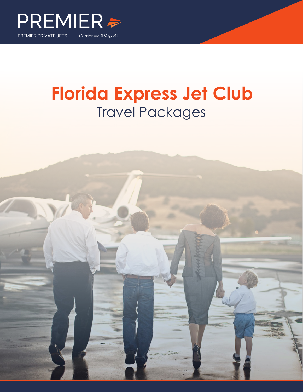

# **Florida Express Jet Club** Travel Packages

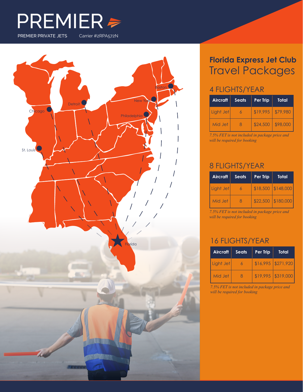



### **Florida Express Jet Club** Travel Packages

#### 4 FLIGHTS/YEAR

| <b>Aircraft</b> | <b>Seats</b> | Per Trip | Total    |
|-----------------|--------------|----------|----------|
| Light Jet       | 6            | \$19.995 | \$79,980 |
| Mid Jet         | 8            | \$24,500 | \$98,000 |

*7.5% FET is not included in package price and will be required for booking*

#### 8 FLIGHTS/YEAR

| <b>Aircraft</b> | <b>Seats</b> | Per Trip | Total              |
|-----------------|--------------|----------|--------------------|
| Light Jet       | 6            |          | \$18,500 \$148,000 |
| Mid Jet         | 8            | \$22,500 | \$180,000          |

*7.5% FET is not included in package price and will be required for booking*

#### 16 FLIGHTS/YEAR

| Aircraft  | <b>Seats</b> | Per Trip | Total                |
|-----------|--------------|----------|----------------------|
| Light Jet | 6            |          | $$16,995$ $$271,920$ |
| Mid Jet   | -8           |          | $$19,995$ $$319,000$ |

*7.5% FET is not included in package price and will be required for booking*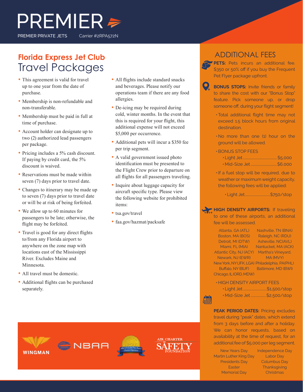# $PREMIER \geq$ PREMIER PRIVATE JETS Carrier #2RPA572N

### **Florida Express Jet Club** Travel Packages

- This agreement is valid for travel up to one year from the date of purchase.
- Membership is non-refundable and non-transferable.
- Membership must be paid in full at time of purchase.
- Account holder can designate up to two (2) authorized lead passengers per package.
- Pricing includes a 5% cash discount. If paying by credit card, the 5% discount is waived.
- Reservations must be made within seven (7) days prior to travel date.
- Changes to itinerary may be made up to seven (7) days prior to travel date or will be at risk of being forfeited.
- We allow up to 60 minutes for passengers to be late; otherwise, the flight may be forfeited.
- Travel is good for any direct flights to/from any Florida airport to anywhere on the zone map with locations east of the Mississippi River. Excludes Maine and Minnesota.
- All travel must be domestic.
- Additional flights can be purchased separately.
- All flights include standard snacks and beverages. Please notify our operations team if there are any food allergies.
- De-icing may be required during cold, winter months. In the event that this is required for your flight, this additional expense will not exceed \$5,000 per occurrence.
- Additional pets will incur a \$350 fee per trip segment.
- A valid government issued photo identification must be presented to the Flight Crew prior to departure on all flights for all passengers traveling.
- Inquire about luggage capacity for aircraft specific type. Please view the following website for prohibited items:
- tsa.gov/travel
- faa.gov/hazmat/packsafe

#### ADDITIONAL FEES

**PETS:** Pets incurs an additional fee. \$350 or 50% off if you buy the Frequent Pet Flyer package upfront.

**BONUS STOPS:** Invite friends or family to share the cost with our "Bonus Stop" feature. Pick someone up, or drop someone off, during your flight segment!

- •Total additional flight time may not exceed 1.5 block hours from original destination.
- •No more than one (1) hour on the ground will be allowed.
- •BONUS STOP FEES
	- Light Jet........................................ \$5,000
	- Mid-Size Jet ...............................\$6,000
- •If a fuel stop will be required, due to weather or maximum weight capacity, the following fees will be applied:

• Light Jet..............................\$750/stop

**HIGH DENSITY AIRPORTS:** If traveling to one of these airports, an additional fee will be assessed.

Atlanta, GA (ATL) Nashville, TN (BNA) Boston, MA (BOS) Detroit, MI (DTW) Asheville, NC(AVL) Miami, FL (MIA) Nantucket, MA (ACK) Atlantic City, NJ (ACY) Martha's Vineyard, Newark, NJ (EWR) New York, NY (JFK, LGA) Philadelphia, PA(PHL) Buffalo, NY (BUF) Chicago, IL (ORD, MDW) Raleigh, NC (RDU) MA (MVY) Baltimore, MD (BWI)

• HIGH DENSITY AIRPORT FEES

| ·Light Jet\$1,500/stop       |
|------------------------------|
| • Mid-Size Jet  \$2,500/stop |

**PEAK PERIOD DATES:** Pricing excludes travel during "peak" dates, which extend from 3 days before and after a holiday. We can honor requests, based on availability at the time of request, for an additional fee of \$5,000 per leg segment.

New Years Day Martin Luther King Day Presidents Day **Easter** Memorial Day

Independence Day Labor Day Columbus Day **Thanksgiving Christmas**